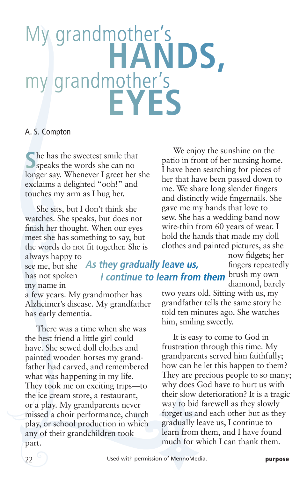## My grandmother's my grandmother's my grandmother's

## A. S. Compton

**S**he has the sweetest smile that speaks the words she can no longer say. Whenever I greet her she exclaims a delighted "ooh!" and touches my arm as I hug her.

She sits, but I don't think she watches. She speaks, but does not finish her thought. When our eyes meet she has something to say, but the words do not fit together. She is

We enjoy the sunshine on the patio in front of her nursing home. I have been searching for pieces of her that have been passed down to me. We share long slender fingers and distinctly wide fingernails. She gave me my hands that love to sew. She has a wedding band now wire-thin from 60 years of wear. I hold the hands that made my doll clothes and painted pictures, as she

always happy to see me, but she has not spoken my name in **I continue to learn from them** <sup>brush my own</sup> **As they gradually leave us,** 

now fidgets; her fingers repeatedly diamond, barely

two years old. Sitting with us, my grandfather tells the same story he told ten minutes ago. She watches him, smiling sweetly.

It is easy to come to God in frustration through this time. My grandparents served him faithfully; how can he let this happen to them? They are precious people to so many; why does God have to hurt us with their slow deterioration? It is a tragic way to bid farewell as they slowly forget us and each other but as they gradually leave us, I continue to learn from them, and I have found much for which I can thank them.

a few years. My grandmother has Alzheimer's disease. My grandfather has early dementia.

There was a time when she was the best friend a little girl could have. She sewed doll clothes and painted wooden horses my grandfather had carved, and remembered what was happening in my life. They took me on exciting trips—to the ice cream store, a restaurant, or a play. My grandparents never missed a choir performance, church play, or school production in which any of their grandchildren took part.